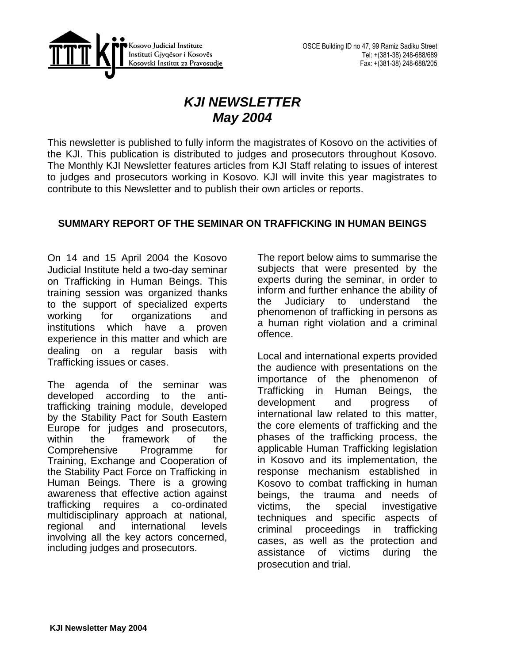

# *KJI NEWSLETTER May 2004*

This newsletter is published to fully inform the magistrates of Kosovo on the activities of the KJI. This publication is distributed to judges and prosecutors throughout Kosovo. The Monthly KJI Newsletter features articles from KJI Staff relating to issues of interest to judges and prosecutors working in Kosovo. KJI will invite this year magistrates to contribute to this Newsletter and to publish their own articles or reports.

# **SUMMARY REPORT OF THE SEMINAR ON TRAFFICKING IN HUMAN BEINGS**

On 14 and 15 April 2004 the Kosovo Judicial Institute held a two-day seminar on Trafficking in Human Beings. This training session was organized thanks to the support of specialized experts working for organizations and institutions which have a proven experience in this matter and which are dealing on a regular basis with Trafficking issues or cases.

The agenda of the seminar was developed according to the antitrafficking training module, developed by the Stability Pact for South Eastern Europe for judges and prosecutors, within the framework of the Comprehensive Programme for Training, Exchange and Cooperation of the Stability Pact Force on Trafficking in Human Beings. There is a growing awareness that effective action against trafficking requires a co-ordinated multidisciplinary approach at national, regional and international levels involving all the key actors concerned, including judges and prosecutors.

The report below aims to summarise the subjects that were presented by the experts during the seminar, in order to inform and further enhance the ability of the Judiciary to understand the phenomenon of trafficking in persons as a human right violation and a criminal offence.

Local and international experts provided the audience with presentations on the importance of the phenomenon of Trafficking in Human Beings, the development and progress of international law related to this matter, the core elements of trafficking and the phases of the trafficking process, the applicable Human Trafficking legislation in Kosovo and its implementation, the response mechanism established in Kosovo to combat trafficking in human beings, the trauma and needs of victims, the special investigative techniques and specific aspects of criminal proceedings in trafficking cases, as well as the protection and assistance of victims during the prosecution and trial.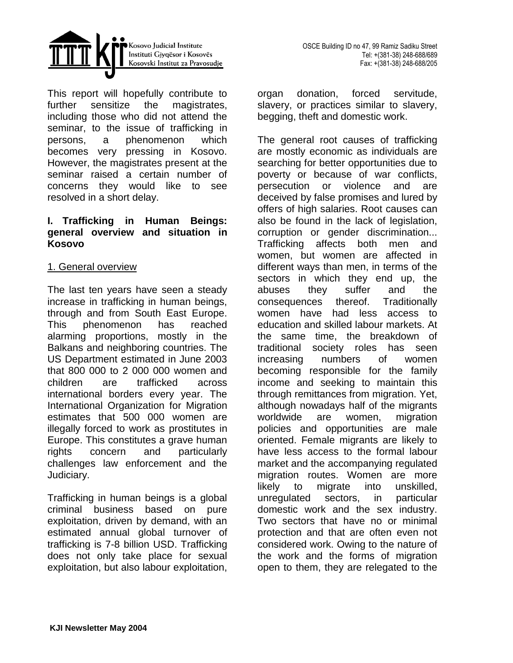

This report will hopefully contribute to further sensitize the magistrates, including those who did not attend the seminar, to the issue of trafficking in persons, a phenomenon which becomes very pressing in Kosovo. However, the magistrates present at the seminar raised a certain number of concerns they would like to see resolved in a short delay.

### **I. Trafficking in Human Beings: general overview and situation in Kosovo**

### 1. General overview

The last ten years have seen a steady increase in trafficking in human beings, through and from South East Europe. This phenomenon has reached alarming proportions, mostly in the Balkans and neighboring countries. The US Department estimated in June 2003 that 800 000 to 2 000 000 women and children are trafficked across international borders every year. The International Organization for Migration estimates that 500 000 women are illegally forced to work as prostitutes in Europe. This constitutes a grave human rights concern and particularly challenges law enforcement and the Judiciary.

Trafficking in human beings is a global criminal business based on pure exploitation, driven by demand, with an estimated annual global turnover of trafficking is 7-8 billion USD. Trafficking does not only take place for sexual exploitation, but also labour exploitation, organ donation, forced servitude, slavery, or practices similar to slavery, begging, theft and domestic work.

The general root causes of trafficking are mostly economic as individuals are searching for better opportunities due to poverty or because of war conflicts, persecution or violence and are deceived by false promises and lured by offers of high salaries. Root causes can also be found in the lack of legislation, corruption or gender discrimination... Trafficking affects both men and women, but women are affected in different ways than men, in terms of the sectors in which they end up, the abuses they suffer and the consequences thereof. Traditionally women have had less access to education and skilled labour markets. At the same time, the breakdown of traditional society roles has seen increasing numbers of women becoming responsible for the family income and seeking to maintain this through remittances from migration. Yet, although nowadays half of the migrants worldwide are women, migration policies and opportunities are male oriented. Female migrants are likely to have less access to the formal labour market and the accompanying regulated migration routes. Women are more likely to migrate into unskilled, unregulated sectors, in particular domestic work and the sex industry. Two sectors that have no or minimal protection and that are often even not considered work. Owing to the nature of the work and the forms of migration open to them, they are relegated to the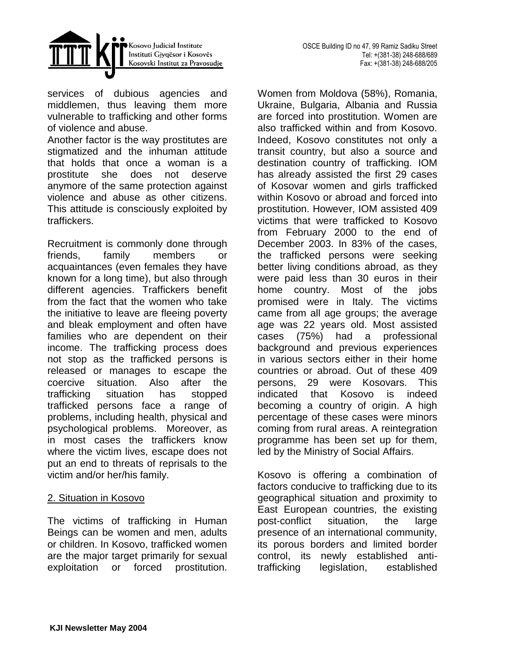

services of dubious agencies and middlemen, thus leaving them more vulnerable to trafficking and other forms of violence and abuse.

Another factor is the way prostitutes are stigmatized and the inhuman attitude that holds that once a woman is a prostitute she does not deserve anymore of the same protection against violence and abuse as other citizens. This attitude is consciously exploited by traffickers.

Recruitment is commonly done through friends, family members or acquaintances (even females they have known for a long time), but also through different agencies. Traffickers benefit from the fact that the women who take the initiative to leave are fleeing poverty and bleak employment and often have families who are dependent on their income. The trafficking process does not stop as the trafficked persons is released or manages to escape the coercive situation. Also after the trafficking situation has stopped trafficked persons face a range of problems, including health, physical and psychological problems. Moreover, as in most cases the traffickers know where the victim lives, escape does not put an end to threats of reprisals to the victim and/or her/his family.

# 2. Situation in Kosovo

The victims of trafficking in Human Beings can be women and men, adults or children. In Kosovo, trafficked women are the major target primarily for sexual exploitation or forced prostitution. Women from Moldova (58%), Romania, Ukraine, Bulgaria, Albania and Russia are forced into prostitution. Women are also trafficked within and from Kosovo. Indeed, Kosovo constitutes not only a transit country, but also a source and destination country of trafficking. IOM has already assisted the first 29 cases of Kosovar women and girls trafficked within Kosovo or abroad and forced into prostitution. However, IOM assisted 409 victims that were trafficked to Kosovo from February 2000 to the end of December 2003. In 83% of the cases, the trafficked persons were seeking better living conditions abroad, as they were paid less than 30 euros in their home country. Most of the jobs promised were in Italy. The victims came from all age groups; the average age was 22 years old. Most assisted cases (75%) had a professional background and previous experiences in various sectors either in their home countries or abroad. Out of these 409 persons, 29 were Kosovars. This indicated that Kosovo is indeed becoming a country of origin. A high percentage of these cases were minors coming from rural areas. A reintegration programme has been set up for them, led by the Ministry of Social Affairs.

Kosovo is offering a combination of factors conducive to trafficking due to its geographical situation and proximity to East European countries, the existing post-conflict situation, the large presence of an international community, its porous borders and limited border control, its newly established antitrafficking legislation, established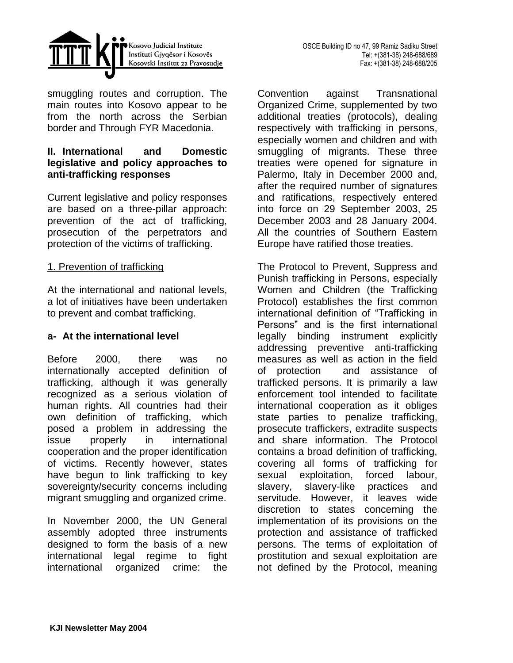



smuggling routes and corruption. The main routes into Kosovo appear to be from the north across the Serbian border and Through FYR Macedonia.

# **II. International and Domestic legislative and policy approaches to anti-trafficking responses**

Current legislative and policy responses are based on a three-pillar approach: prevention of the act of trafficking, prosecution of the perpetrators and protection of the victims of trafficking.

### 1. Prevention of trafficking

At the international and national levels, a lot of initiatives have been undertaken to prevent and combat trafficking.

# **a- At the international level**

Before 2000, there was no internationally accepted definition of trafficking, although it was generally recognized as a serious violation of human rights. All countries had their own definition of trafficking, which posed a problem in addressing the issue properly in international cooperation and the proper identification of victims. Recently however, states have begun to link trafficking to key sovereignty/security concerns including migrant smuggling and organized crime.

In November 2000, the UN General assembly adopted three instruments designed to form the basis of a new international legal regime to fight international organized crime: the

Convention against Transnational Organized Crime, supplemented by two additional treaties (protocols), dealing respectively with trafficking in persons, especially women and children and with smuggling of migrants. These three treaties were opened for signature in Palermo, Italy in December 2000 and, after the required number of signatures and ratifications, respectively entered into force on 29 September 2003, 25 December 2003 and 28 January 2004. All the countries of Southern Eastern Europe have ratified those treaties.

The Protocol to Prevent, Suppress and Punish trafficking in Persons, especially Women and Children (the Trafficking Protocol) establishes the first common international definition of "Trafficking in Persons" and is the first international legally binding instrument explicitly addressing preventive anti-trafficking measures as well as action in the field of protection and assistance of trafficked persons. It is primarily a law enforcement tool intended to facilitate international cooperation as it obliges state parties to penalize trafficking, prosecute traffickers, extradite suspects and share information. The Protocol contains a broad definition of trafficking, covering all forms of trafficking for sexual exploitation, forced labour, slavery, slavery-like practices and servitude. However, it leaves wide discretion to states concerning the implementation of its provisions on the protection and assistance of trafficked persons. The terms of exploitation of prostitution and sexual exploitation are not defined by the Protocol, meaning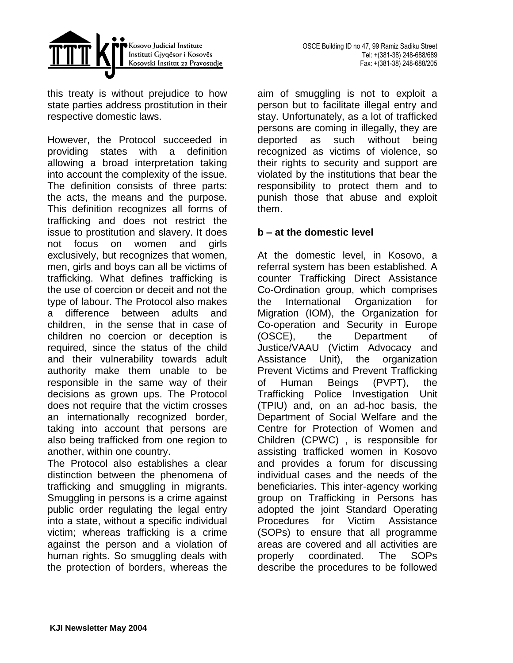

this treaty is without prejudice to how state parties address prostitution in their respective domestic laws.

However, the Protocol succeeded in providing states with a definition allowing a broad interpretation taking into account the complexity of the issue. The definition consists of three parts: the acts, the means and the purpose. This definition recognizes all forms of trafficking and does not restrict the issue to prostitution and slavery. It does not focus on women and girls exclusively, but recognizes that women, men, girls and boys can all be victims of trafficking. What defines trafficking is the use of coercion or deceit and not the type of labour. The Protocol also makes a difference between adults and children, in the sense that in case of children no coercion or deception is required, since the status of the child and their vulnerability towards adult authority make them unable to be responsible in the same way of their decisions as grown ups. The Protocol does not require that the victim crosses an internationally recognized border, taking into account that persons are also being trafficked from one region to another, within one country.

The Protocol also establishes a clear distinction between the phenomena of trafficking and smuggling in migrants. Smuggling in persons is a crime against public order regulating the legal entry into a state, without a specific individual victim; whereas trafficking is a crime against the person and a violation of human rights. So smuggling deals with the protection of borders, whereas the

aim of smuggling is not to exploit a person but to facilitate illegal entry and stay. Unfortunately, as a lot of trafficked persons are coming in illegally, they are deported as such without being recognized as victims of violence, so their rights to security and support are violated by the institutions that bear the responsibility to protect them and to punish those that abuse and exploit them.

### **b – at the domestic level**

At the domestic level, in Kosovo, a referral system has been established. A counter Trafficking Direct Assistance Co-Ordination group, which comprises the International Organization for Migration (IOM), the Organization for Co-operation and Security in Europe (OSCE), the Department of Justice/VAAU (Victim Advocacy and Assistance Unit), the organization Prevent Victims and Prevent Trafficking of Human Beings (PVPT), the Trafficking Police Investigation Unit (TPIU) and, on an ad-hoc basis, the Department of Social Welfare and the Centre for Protection of Women and Children (CPWC) , is responsible for assisting trafficked women in Kosovo and provides a forum for discussing individual cases and the needs of the beneficiaries. This inter-agency working group on Trafficking in Persons has adopted the joint Standard Operating Procedures for Victim Assistance (SOPs) to ensure that all programme areas are covered and all activities are properly coordinated. The SOPs describe the procedures to be followed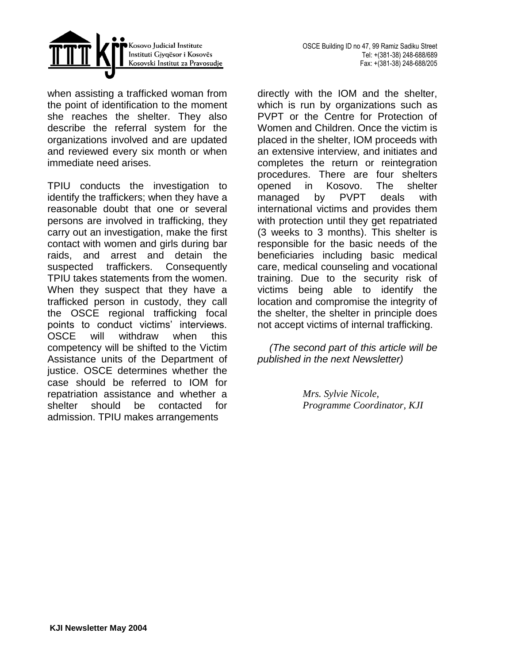



when assisting a trafficked woman from the point of identification to the moment she reaches the shelter. They also describe the referral system for the organizations involved and are updated and reviewed every six month or when immediate need arises.

TPIU conducts the investigation to identify the traffickers; when they have a reasonable doubt that one or several persons are involved in trafficking, they carry out an investigation, make the first contact with women and girls during bar raids, and arrest and detain the suspected traffickers. Consequently TPIU takes statements from the women. When they suspect that they have a trafficked person in custody, they call the OSCE regional trafficking focal points to conduct victims' interviews. OSCE will withdraw when this competency will be shifted to the Victim Assistance units of the Department of justice. OSCE determines whether the case should be referred to IOM for repatriation assistance and whether a shelter should be contacted for admission. TPIU makes arrangements

directly with the IOM and the shelter, which is run by organizations such as PVPT or the Centre for Protection of Women and Children. Once the victim is placed in the shelter, IOM proceeds with an extensive interview, and initiates and completes the return or reintegration procedures. There are four shelters opened in Kosovo. The shelter managed by PVPT deals with international victims and provides them with protection until they get repatriated (3 weeks to 3 months). This shelter is responsible for the basic needs of the beneficiaries including basic medical care, medical counseling and vocational training. Due to the security risk of victims being able to identify the location and compromise the integrity of the shelter, the shelter in principle does not accept victims of internal trafficking.

*(The second part of this article will be published in the next Newsletter)*

> *Mrs. Sylvie Nicole, Programme Coordinator, KJI*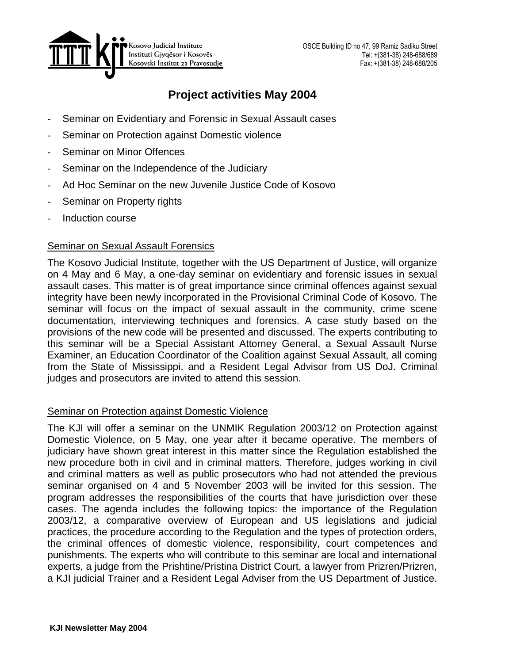

# **Project activities May 2004**

- Seminar on Evidentiary and Forensic in Sexual Assault cases
- Seminar on Protection against Domestic violence
- Seminar on Minor Offences
- Seminar on the Independence of the Judiciary
- Ad Hoc Seminar on the new Juvenile Justice Code of Kosovo
- Seminar on Property rights
- Induction course

### Seminar on Sexual Assault Forensics

The Kosovo Judicial Institute, together with the US Department of Justice, will organize on 4 May and 6 May, a one-day seminar on evidentiary and forensic issues in sexual assault cases. This matter is of great importance since criminal offences against sexual integrity have been newly incorporated in the Provisional Criminal Code of Kosovo. The seminar will focus on the impact of sexual assault in the community, crime scene documentation, interviewing techniques and forensics. A case study based on the provisions of the new code will be presented and discussed. The experts contributing to this seminar will be a Special Assistant Attorney General, a Sexual Assault Nurse Examiner, an Education Coordinator of the Coalition against Sexual Assault, all coming from the State of Mississippi, and a Resident Legal Advisor from US DoJ. Criminal judges and prosecutors are invited to attend this session.

# Seminar on Protection against Domestic Violence

The KJI will offer a seminar on the UNMIK Regulation 2003/12 on Protection against Domestic Violence, on 5 May, one year after it became operative. The members of judiciary have shown great interest in this matter since the Regulation established the new procedure both in civil and in criminal matters. Therefore, judges working in civil and criminal matters as well as public prosecutors who had not attended the previous seminar organised on 4 and 5 November 2003 will be invited for this session. The program addresses the responsibilities of the courts that have jurisdiction over these cases. The agenda includes the following topics: the importance of the Regulation 2003/12, a comparative overview of European and US legislations and judicial practices, the procedure according to the Regulation and the types of protection orders, the criminal offences of domestic violence, responsibility, court competences and punishments. The experts who will contribute to this seminar are local and international experts, a judge from the Prishtine/Pristina District Court, a lawyer from Prizren/Prizren, a KJI judicial Trainer and a Resident Legal Adviser from the US Department of Justice.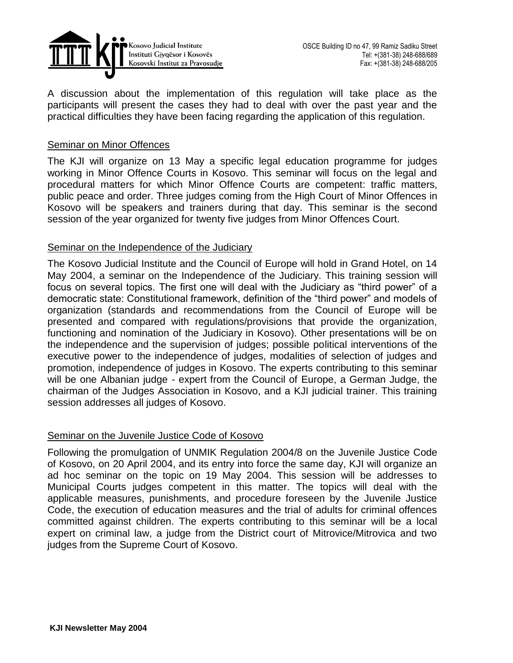

A discussion about the implementation of this regulation will take place as the participants will present the cases they had to deal with over the past year and the practical difficulties they have been facing regarding the application of this regulation.

### Seminar on Minor Offences

The KJI will organize on 13 May a specific legal education programme for judges working in Minor Offence Courts in Kosovo. This seminar will focus on the legal and procedural matters for which Minor Offence Courts are competent: traffic matters, public peace and order. Three judges coming from the High Court of Minor Offences in Kosovo will be speakers and trainers during that day. This seminar is the second session of the year organized for twenty five judges from Minor Offences Court.

### Seminar on the Independence of the Judiciary

The Kosovo Judicial Institute and the Council of Europe will hold in Grand Hotel, on 14 May 2004, a seminar on the Independence of the Judiciary. This training session will focus on several topics. The first one will deal with the Judiciary as "third power" of a democratic state: Constitutional framework, definition of the "third power" and models of organization (standards and recommendations from the Council of Europe will be presented and compared with regulations/provisions that provide the organization, functioning and nomination of the Judiciary in Kosovo). Other presentations will be on the independence and the supervision of judges; possible political interventions of the executive power to the independence of judges, modalities of selection of judges and promotion, independence of judges in Kosovo. The experts contributing to this seminar will be one Albanian judge - expert from the Council of Europe, a German Judge, the chairman of the Judges Association in Kosovo, and a KJI judicial trainer. This training session addresses all judges of Kosovo.

### Seminar on the Juvenile Justice Code of Kosovo

Following the promulgation of UNMIK Regulation 2004/8 on the Juvenile Justice Code of Kosovo, on 20 April 2004, and its entry into force the same day, KJI will organize an ad hoc seminar on the topic on 19 May 2004. This session will be addresses to Municipal Courts judges competent in this matter. The topics will deal with the applicable measures, punishments, and procedure foreseen by the Juvenile Justice Code, the execution of education measures and the trial of adults for criminal offences committed against children. The experts contributing to this seminar will be a local expert on criminal law, a judge from the District court of Mitrovice/Mitrovica and two judges from the Supreme Court of Kosovo.